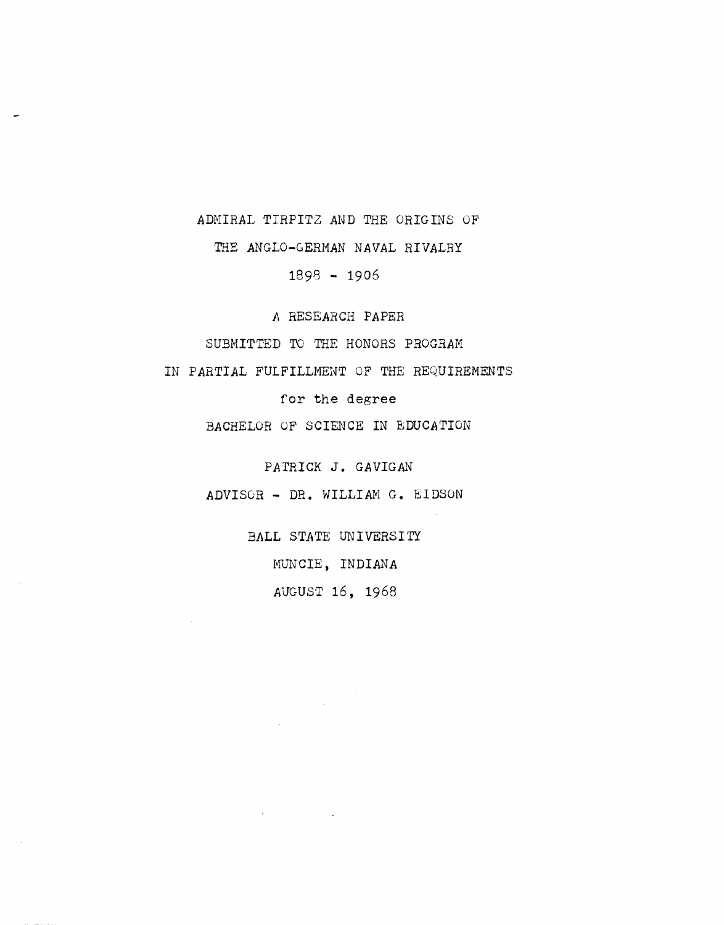## ADMIRAL TIRPITZ AND THE ORIGINS OF

THE ANGLO-GERMAN NAVAL RIVALRY

 $1898 - 1906$ 

I, RESEARCH *PAPER* 

SUBHITTED TO THE HONORS PROGRAM

IN PARTIAL FULFILLMENT OF THE REQUIREMENTS

for the degree

BACHELOR OF SCIENCE IN EDUCATION

PATRICK J. GAVIGAN

ADVISOR - DR. WILLIAN **G.** EIDSON

BALL STATE UNIVERSITY MUNCIE, INDIANA AUGUST 16, 1968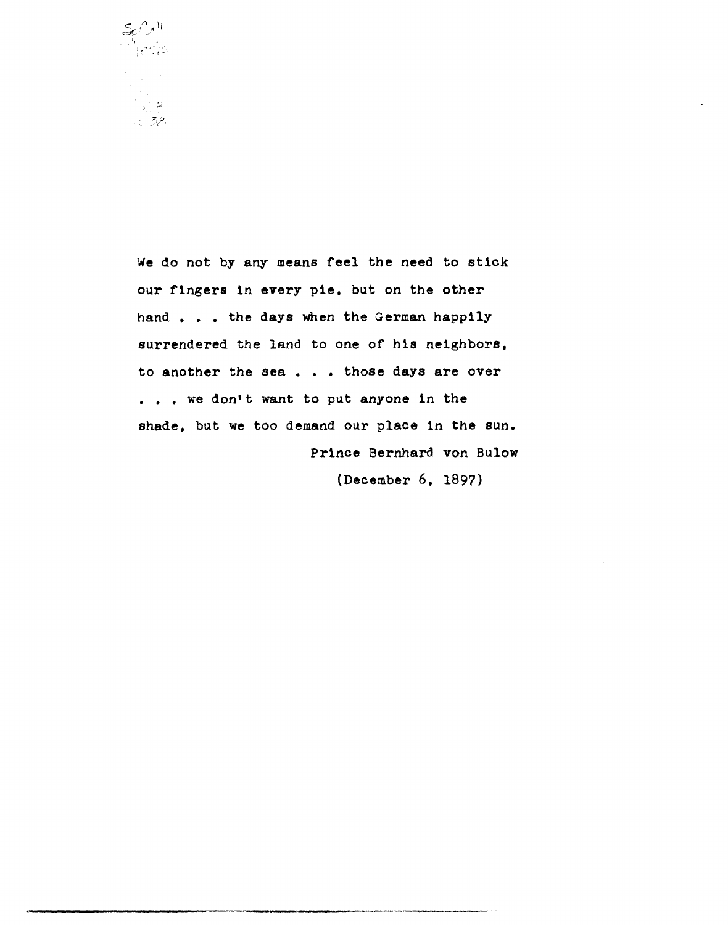

We do not by any means feel the need to stick our fingers in every pie, but on the other hand  $\ldots$  the days when the German happily surrendered the land to one of his neighbors, to another the sea . . . those days are over ... we don't want to put anyone in the shade, but we too demand our place in the sun. Prince Bernhard von Bulow

(December 6. 1897)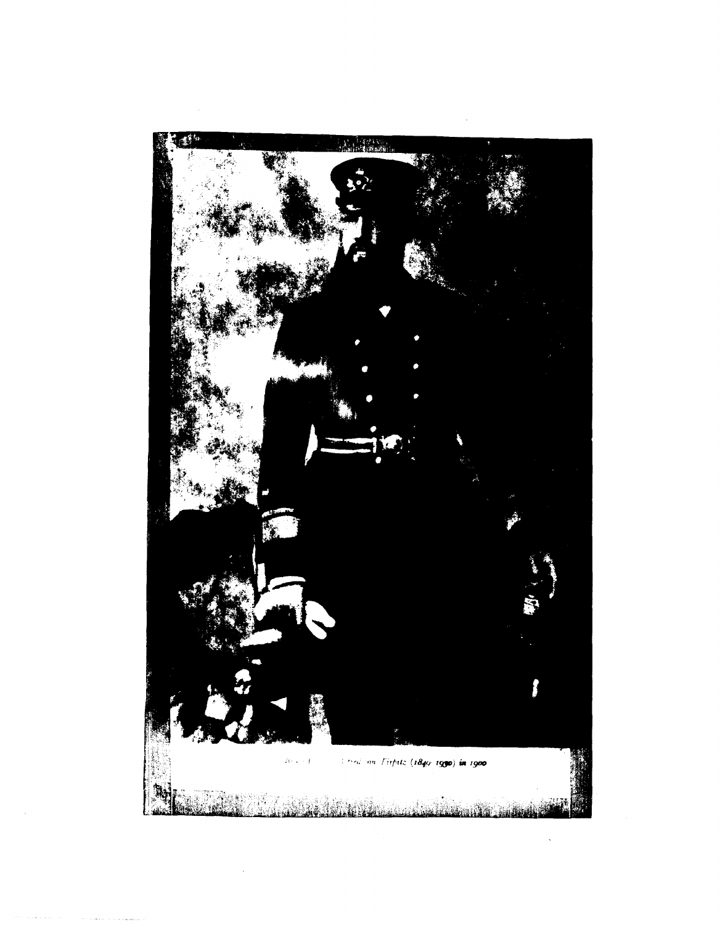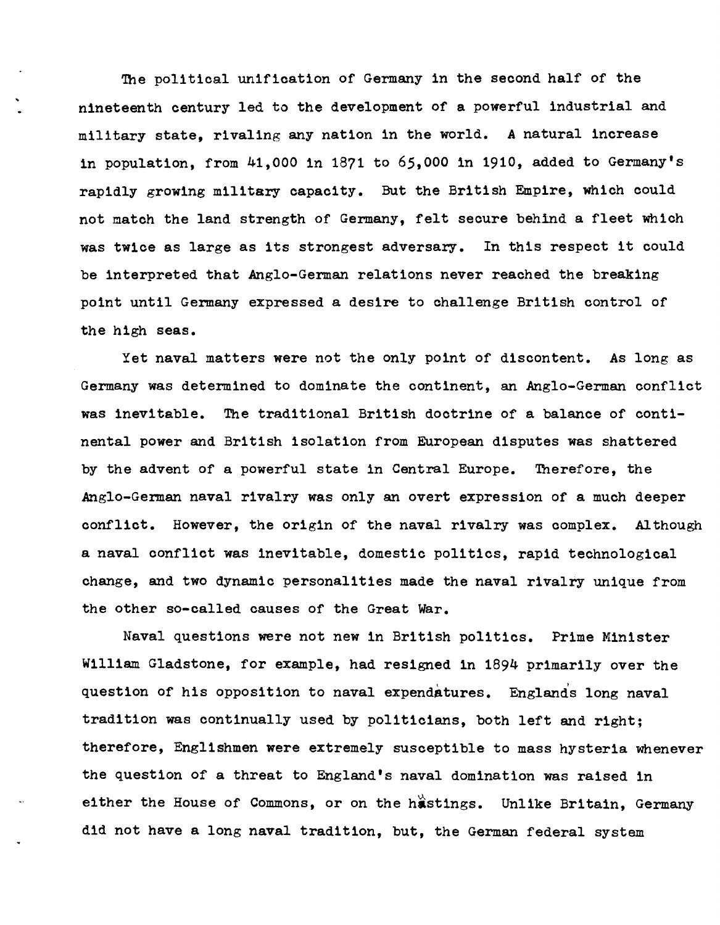The political unification of Germany in the second half of the nineteenth century led to the development of a powerful industrial and military state, rivaling any nation in the world. A natural increase in population, from 41,000 1n 1871 to 65,000 in 1910, added to Germany's rapidly growing military capacity. But the British Empire, which could not match the land strength of Germany, felt secure behind a fleet which was twice as large as its strongest adversary. In this respect it could be interpreted that Anglo-German relations never reached the breaking point until Germany expressed a desire to challenge British control of the high seas.

Yet naval matters were not the only point of discontent. As long as Germany was determined to dominate the continent, an Anglo-German conflict was inevitable. The traditional British doctrine of a balance of continental power and British isolation from European disputes was shattered by the advent of a powerful state in Central Europe. Therefore, the Anglo-German naval rivalry was only an overt expression of a much deeper conflict. However, the origin of the naval rivalry was complex. Although a naval conflict was inevitable, domestic politics, rapid technological change, and two dynamic personalities made the naval rivalry unique from the other so-called causes of the Great War.

Naval questions were not new in British politics. Prime Minister William Gladstone, for example, had resigned in 1894 primarily over the question of his opposition to naval expendatures. Englands long naval trad1tion was continually used by politicians, both left and right; therefore, Engl1shmen were extremely susceptible to mass hysteria whenever the question of a threat to England's naval domination was ra1sed in either the House of Commons, or on the hastings. Unlike Britain, Germany d1d not have a long naval tradition, but, the German federal system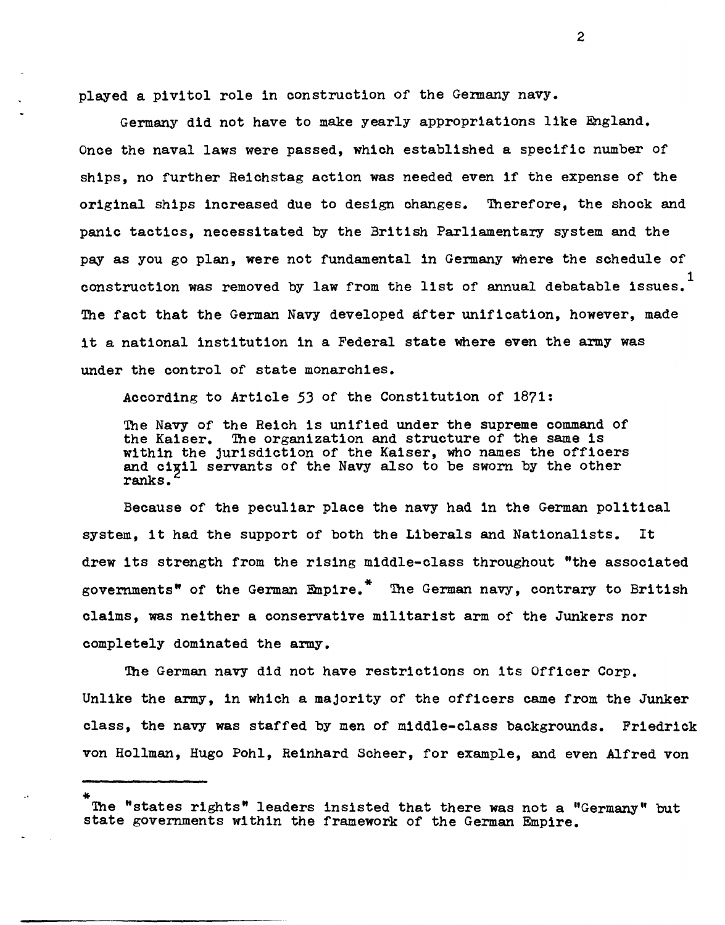played a pivitol role in construction of the Germany navy.

Germany did not have to make yearly appropriations like England. Once the naval laws were passed, which established a specific number of ships, no further Reichstag action was needed even if the expense of the original ships increased due to design changes. Therefore, the shock and panic tactics, necessitated by the British Parliamentary system and the pay as you go plan, were not fundamental in Germany where the schedule of construction was removed by law from the list of annual debatable issues. The fact that the German Navy developed after unification, however, made it a national institution in a Federal state where even the army was under the control of state monarchies.

According to Article 53 of the Constitution of 1871:

The Navy of the Reich is unified under the supreme command of the Kaiser. The organization and structure of the same is within the jurisdiction of the Kaiser, who names the officers and cigil servants of the Navy also to be sworn by the other ranks.

Because of the peculiar place the navy had in the German political system, it had the support of both the Liberals and Nationalists. It drew its strength from the rising middle-class throughout "the associated governments" of the German Empire." The German navy, contrary to British claims, was neither a conservative militarist arm of the Junkers nor completely dominated the army.

The German navy did not have restrictions on its Officer Corp. Unlike the army, in which a majority of the officers came from the Junker class, the navy was staffed by men of middle-class backgrounds. Friedrick von Hollman, Hugo Poh1, Reinhard Scheer, for example, and even Alfred von

The "states rights" leaders insisted that there was not a "Germany" but state governments within the framework of the German Empire.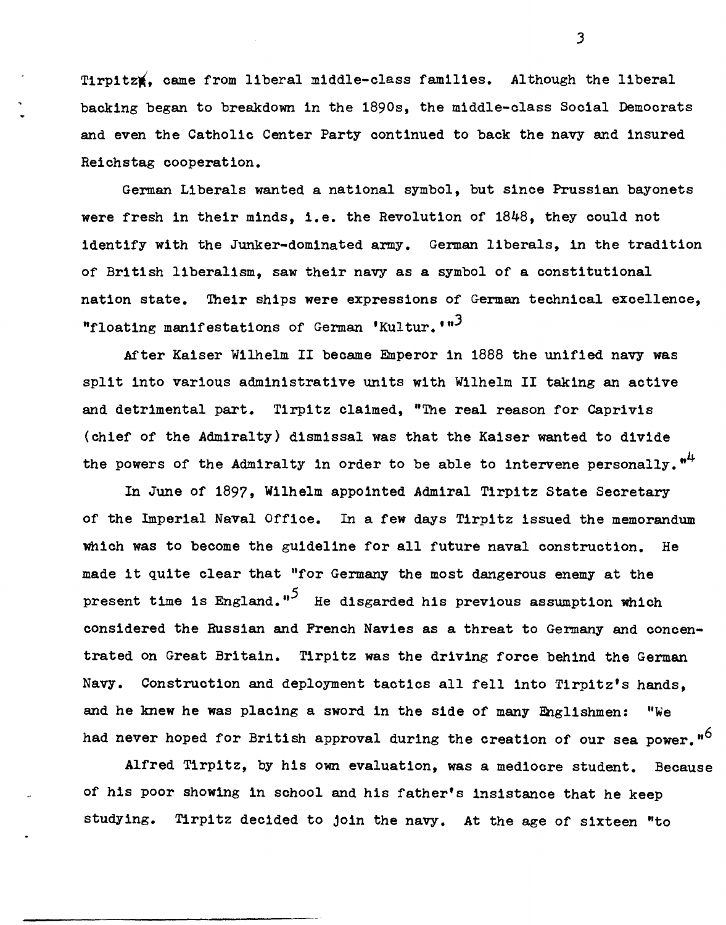Tirpitz#, came from liberal middle-class families. Although the liberal backing began to breakdown in the 1890s, the middle-class Social Democrats and even the Catholic Center Party continued to back the navy and insured Reichstag cooperation.

German Liberals wanted a national symbol, but since Prussian bayonets were fresh in their minds, i.e. the Revolution of 1848, they could not identify with the Junker-dominated army. German liberals, in the tradition of British liberalism, saw their navy as a symbol of a constitutional nation state. Their ships were expressions of German technical excellence, "floating manifestations of German 'Kultur.'"<sup>3</sup>

After Kaiser Wilhelm II became Emperor in 1888 the unified navy was split into various administrative units with Wilhelm II taking an active and detrimental part. Tirpitz claimed, "The real reason for Caprivis (chief of the Admiralty) dismissal was that the Kaiser wanted to divide the powers of the Admiralty in order to be able to intervene personally.  $n^4$ 

In June of 1897, Wilhelm appointed Admiral Tirpitz State Secretary of the Imperial Naval Office. In a few days Tirpitz issued the memorandum which was to become the guideline for all future naval construction. He made it quite clear that "for Germany the most dangerous enemy at the present time is England."<sup>5</sup> He disgarded his previous assumption which considered the Russian and French Navies as a threat to Germany and concentrated on Great Britain. Tlrpitz was the driving force behind the German Navy. Construction and deployment tactics all fell into Tirpitz's hands, and he knew he was placing a sword in the side of many Englishmen: "We had never hoped for British approval during the creation of our sea power."<sup>6</sup>

Alfred Tlrpitz, by his own evaluation, was a mediocre student. Because of his poor showing in school and his father's insistance that he keep studying. Tirpitz decided to join the navy. At the age of sixteen "to

J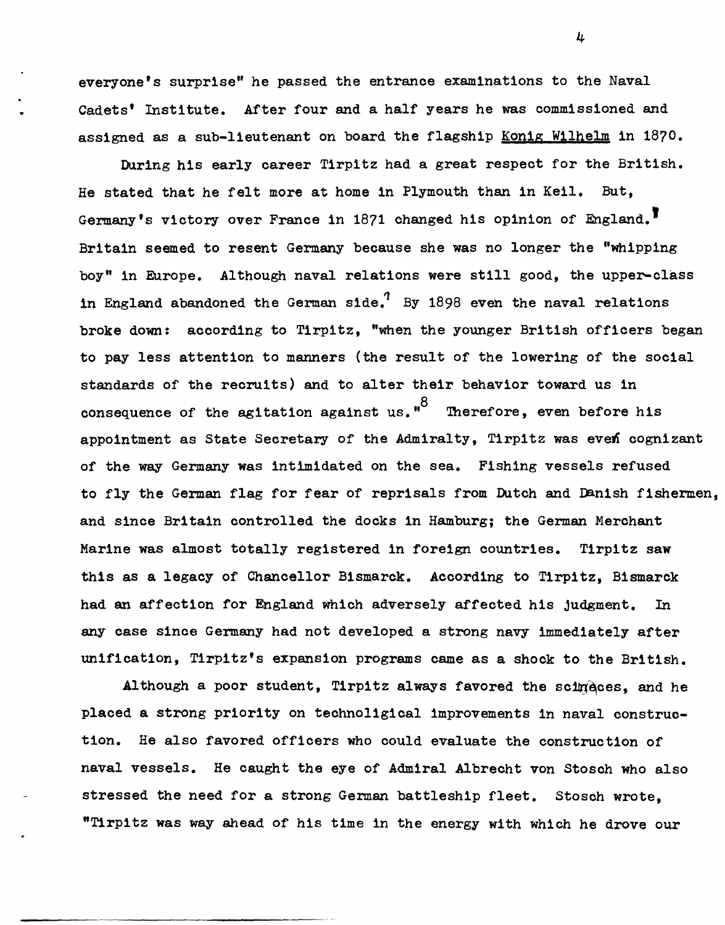everyone's surprise" he passed the entrance examinations to the Naval Cadets' Institute. After four and a half years he was commissioned and assigned as a sub-lieutenant on board the flagship Konig Wilhelm in 1870.

During his early career Tirpitz had a great respect for the British. He stated that he felt more at home in Plymouth than in Keil. But, Germany's victory over France in 1871 changed his opinion of England.' Britain seemed to resent Germany because she was no longer the "whipping boy" in Europe. Although naval relations were still good, the upper-class in England abandoned the German side.<sup>7</sup> By 1898 even the naval relations broke down: according to Tirpitz, "when the younger British officers began to pay less attention to manners (the result of the lowering of the social standards of the recruits) and to alter their behavior toward us in consequence of the agitation against us." $^8\quad$  Therefore, even before his appointment as State Secretary of the Admiralty, Tirpitz was even cognizant of the way Germany was intimidated on the sea. Fishing vessels refused to fly the German flag for fear of reprisals from Dutch and Danish fishermen, and since Britain controlled the docks in Hamburg; the German Merchant Marine was almost totally registered in foreign countries. Tirpitz saw this as a legacy of Chancellor Bismarck. According to Tirpitz, Bismarck had an affection for England which adversely affected his judgment. In any case since Germany had not developed a strong navy immediately after unification, Tirpitz's expansion programs came as a shock to the British.

Although a poor student, Tirpitz always favored the scimeces, and he placed a strong priority on technoligical improvements in naval construction. He also favored officers who could evaluate the construction of naval vessels. He caught the eye of Admiral Albrecht von Stosch who also stressed the need for a strong German battleship fleet. Stosch wrote, "T1rpitz was way ahead of his time in the energy with which he drove our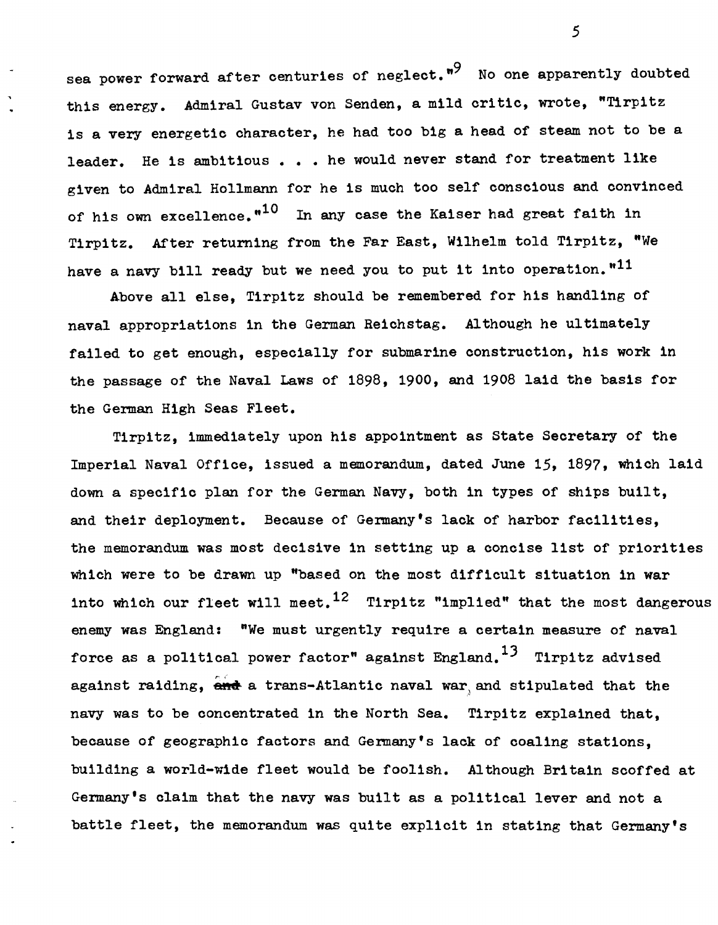sea power forward after centuries of neglect."<sup>9</sup> No one apparently doubted this energy. Admiral Gustav von Senden, a mild critic, wrote, "Tirpitz 1s a very energetic character, he had too big a head of steam not to be a leader. He is ambitious . . . he would never stand for treatment like given to Admiral Hollmann for he is much too self conscious and convinced of his own excellence. $n^{10}$  In any case the Kaiser had great faith in Tirpitz. After returning from the Far East, Wilhelm told Tirpitz, "We have a navy bill ready but we need you to put it into operation."<sup>11</sup>

Above all else, Tirpitz should be remembered for his handling of naval appropriations in the German Reichstag. Although he ultimately failed to get enough, especially for submarine construction, h1s work in the passage of the Naval Laws of 1898, 1900, and 1908 laid the basis for the German High Seas Fleet.

Tirp1tz, immediately upon his appo1ntment as State Secretary of the Imperial Naval Office, issued a memorandum, dated June 15, 1897, which laid down a specific plan for the German Navy, both in types of ships built, and their deployment. Because of Germany's lack of harbor facilities, the memorandum was most decisive in setting up a concise list of priorities wh1ch were to be drawn up "based on the most difficult situation in war into which our fleet will meet.<sup>12</sup> Tirpitz "implied" that the most dangerous enemy was England: "We must urgently require a certain measure of naval force as a political power factor" against England.<sup>13</sup> Tirpitz advised against raiding, and a trans-Atlantic naval war and stipulated that the navy was to be concentrated in the North Sea. Tirpitz explained that, because of geographic factors and Germany's lack of coaling stations. building a world-wide fleet would be foolish. Although Britain scoffed at Germany's cla1m that the navy was built as a pol1tical lever and not a battle fleet, the memorandum was quite explicit in stating that Germany's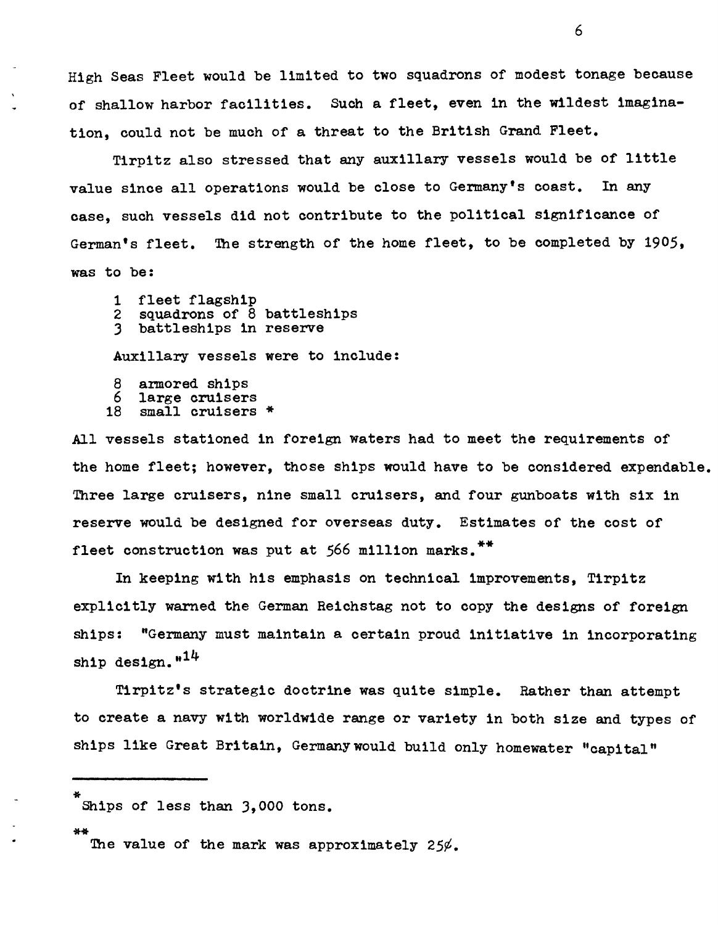High Seas Fleet would be limited to two squadrons of modest tonage because of shallow harbor facilities. Such a fleet, even in the wildest imagination, could not be much of a threat to the British Grand Fleet.

Tirpitz also stressed that any auxilIary vessels would be of little value since all operations would be close to Germany's coast. In any case, such vessels did not contribute to the political significance of German's fleet. The strength of the home fleet, to be completed by 1905, was to be:

- 
- 1 fleet flagship<br>2 squadrons of 8 battleships<br>3 battleships in reserve
- 

AuxilIary vessels were to include:

- 8 armored ships<br>6 large cruisers
- 6 large cruisers
- small cruisers \*

All vessels stationed in foreign waters had to meet the requirements of the home fleet; however, those ships would have to be considered expendable. Three large cruisers, nine small cruisers, and four gunboats with six in reserve would be designed for overseas duty. Estimates of the cost of fleet construction was put at 566 million marks.<sup>\*\*</sup>

In keeping with his emphasis on technical improvements, Tirpitz explicitly warned the German Reichstag not to copy the designs of foreign ships: "Germany must maintain a certain proud initiative in incorporating ship design. $n^{14}$ 

Tirpitz's strategic doctrine was quite simple. Rather than attempt to create a navy with worldwide range or variety in both size and types of ships like Great Britain, Germanywould build only homewater "capital"

The value of the mark was approximately 25 $\varphi$ .

Ships of less than 3,000 tons.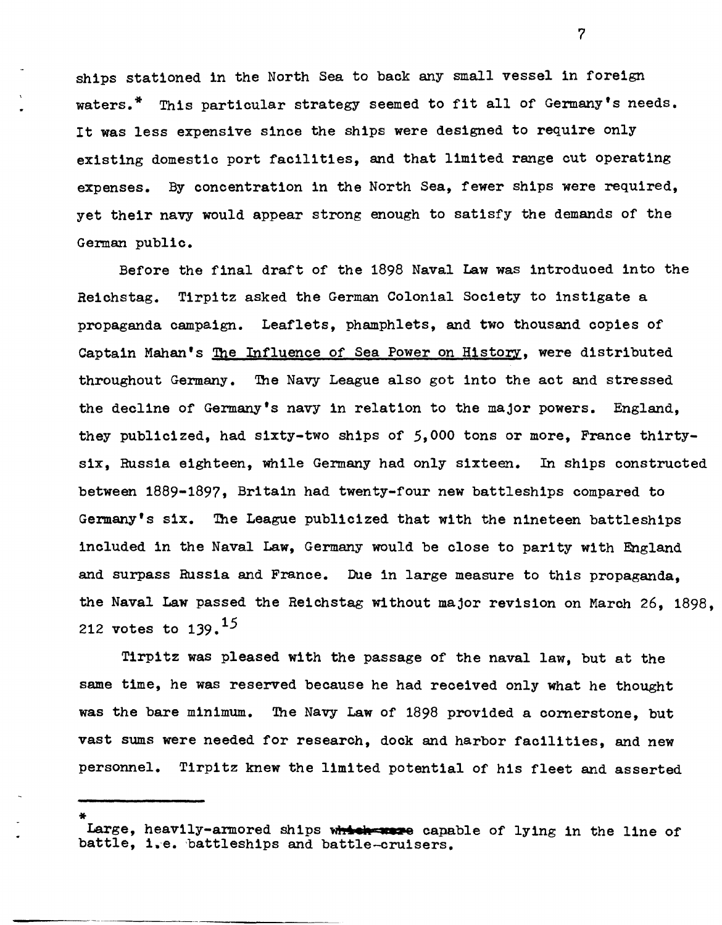ships stationed in the North Sea to back any small vessel in foreign waters. \* This particular strategy seemed to fit all of Germany's needs. It was less expensive since the ships were designed to require only existing domestic port facilities, and that limited range cut operating expenses. By concentration in the North Sea, fewer ships were required, yet their navy would appear strong enough to satisfy the demands of the German public.

Before the final draft of the 1898 Naval Law was introduoed into the Reichstag. Tirpitz asked the German Colonial Society to instigate a propaganda campaign. Leaflets, phamphlets, and two thousand copies of Captain Mahan's The Influence of Sea Power on History, were distributed throughout Germany. The Navy League also got into the act and stressed the deoline of Germany's navy in relation to the major powers. England, they publioized, had sixty-two ships of 5,000 tons or more, Franoe thirtysix, Russia eighteen, while Germany had only sixteen. In ships oonstructed between 1889-1897, Britain had twenty-four new battleships oompared to Germany's six. The League publioized that with the nineteen battleships inoluded in the Naval Law, Germany would be close to parity with England and surpass Russia and France. Due in large measure to this propaganda, the Naval Law passed the Reichstag without major revision on Maroh 26, 1898, 212 votes to  $139.$ <sup>15</sup>

Tirpitz was pleased with the passage of the naval law, but at the same time, he was reserved because he had received only what he thought was the bare minimum. The Navy Law of 1898 provided a cornerstone, but vast sums were needed for research, dook and harbor facilities, and new personnel. Tirpitz knew the limited potential of his fleet and asserted

Large, heavily-armored ships which wave capable of lying in the line of battle, i.e. 'battleships and battle-oruisers.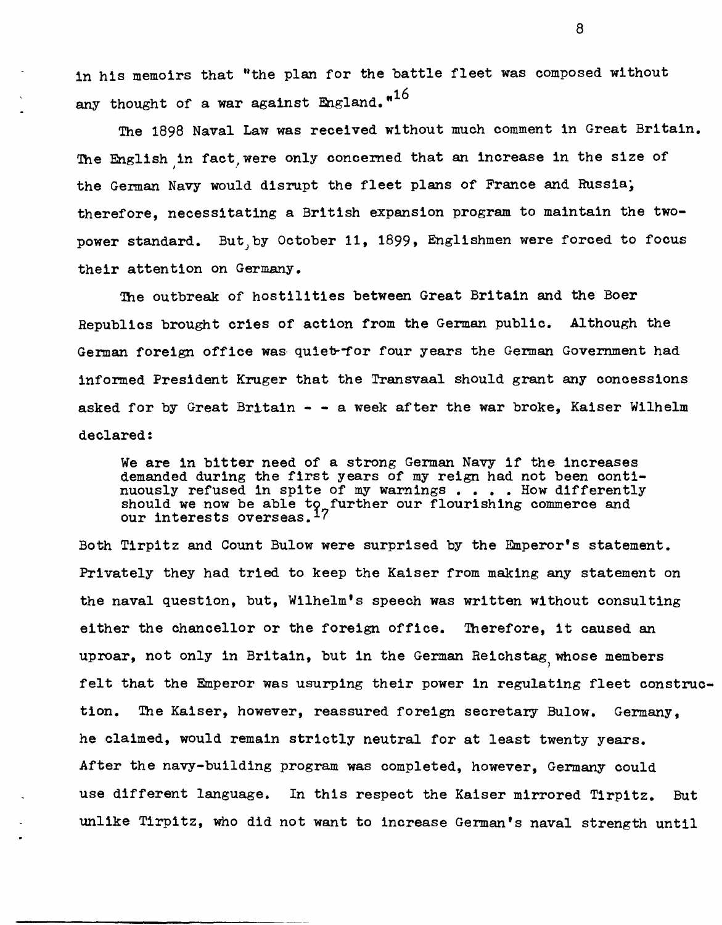in his memoirs that "the plan for the battle fleet was composed without any thought of a war against England." $^{16}$ 

The 1898 Naval Law was received without much comment in Great Britain. The English in fact, were only concerned that an increase in the size of the German Navy would disrupt the fleet plans of France and Russia; therefore, necessitating a British expansion program to maintain the twopower standard. But by October 11, 1899, Englishmen were forced to focus their attention on Germany.

The outbreak of hostilities between Great Britain and the Boer Republics brought cries of action from the German public. Although the German foreign office was quiet for four years the German Government had informed President Kruger that the Transvaal should grant any concessions asked for by Great Britain  $-$  - a week after the war broke, Kaiser Wilhelm declared:

We are in bitter need of a strong German Navy if the increases demanded during the first years of my reign had not been conti-<br>nuously refused in spite of my warnings . . . . How differently should we now be able to further our flourishing commerce and our interests overseas.  $17$ 

Both Tirpitz and Count Bulow were surprised by the Emperor's statement. Privately they had tried to keep the Kaiser from making any statement on the naval question, but, Wilhelm's speech was written without consulting either the chancellor or the foreign office. Therefore, it caused an uproar, not only in Britain, but in the German Reichstag whose members felt that the Emperor was usurping their power in regulating fleet construction. The Kaiser, however, reassured foreign secretary Bulow. Germany, he claimed, would remain strictly neutral for at least twenty years. After the navy-building program was completed, however, Germany could use different language. In this respect the Kaiser mirrored Tirpitz. But unlike Tirpitz, who did not want to increase German's naval strength until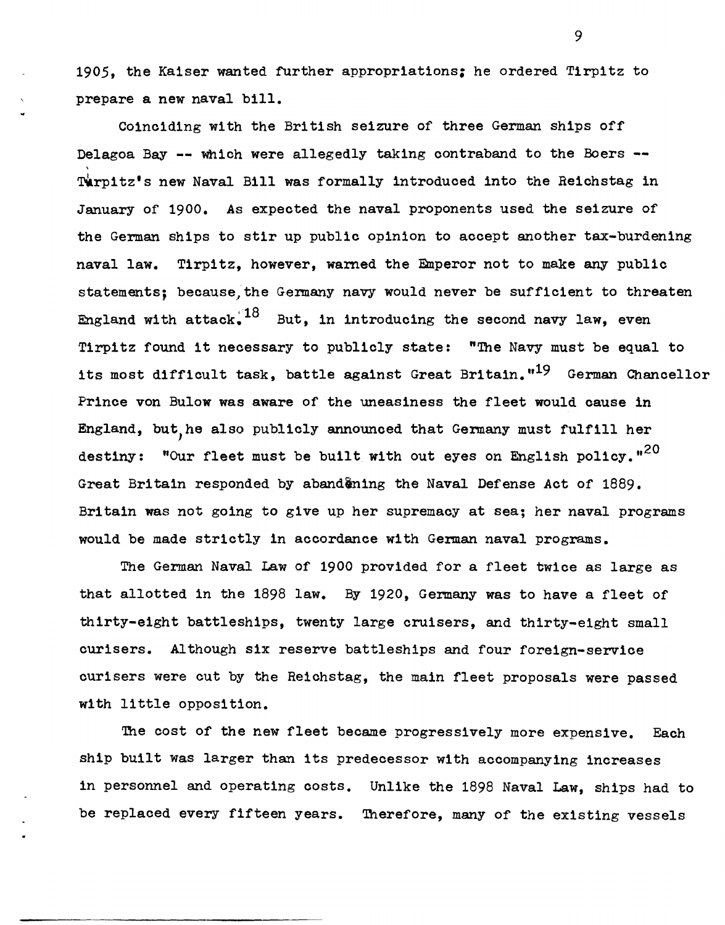1905, the Kaiser wanted further appropriations: he ordered Tirpitz to prepare a new naval bill.

COinciding with the British seizure of three German ships off Delagoa Bay -- which were allegedly taking contraband to the Boers --Turpitz's new Naval Bill was formally introduced into the Reichstag in January of 1900. As expeoted the naval proponents used the seizure of the German ships to stir up publio opinion to aocept another tax-burdening naval law. Tirpitz, however, warned the Emperor not to make any publio statements; because, the Germany navy would never be sufficient to threaten England with attack,  $18$  But, in introducing the second navy law, even Tirpitz found it necessary to publicly state: "The Navy must be equal to its most difficult task, battle against Great Britain."<sup>19</sup> German Chancellor Prinoe von Bulow was aware of the uneasiness the fleet would oause in England, but,he also publioly announoed that Germany must fulfill her destiny: "Our fleet must be built with out eyes on English policy." $^{20}$ Great Britain responded by abandening the Naval Defense Act of 1889. Britain was not going to give up her supremaoy at sea; her naval programs would be made striotly in aooordanoe with German naval programs.

The German Naval Law of 1900 provided for a fleet twioe as large as that allotted in the 1898 law. By 1920, Germany was to have a fleet of thirty-eight battleships, twenty large oruisers, and thirty-eight small ourisers. Although six reserve battleships and four foreign-servioe ourisers were cut by the Reiohstag, the main fleet proposals were passed with little opposition.

The cost of the new fleet became progressively more expensive. Each ship built was larger than its predeoessor with aooompanying inoreases in personnel and operating oosts. Unlike the 1898 Naval Law, ships had to be replaoed every fifteen years. Therefore, many of the existing vessels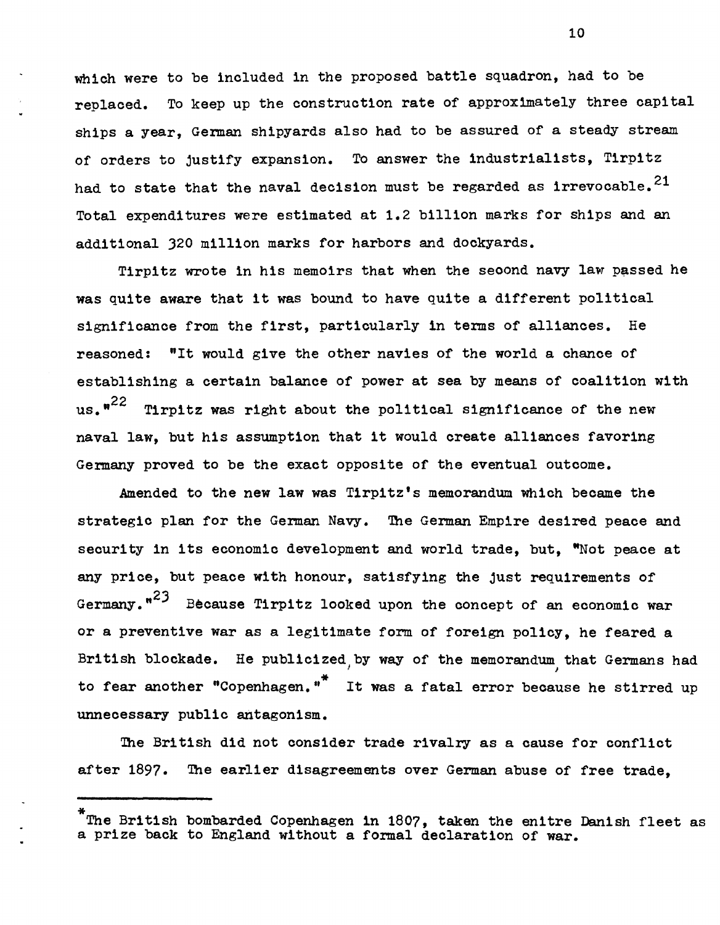which were to be included in the proposed battle squadron. had to be replaced. To keep up the construction rate of approximately three capital ships a year, German shipyards also had to be assured of a steady stream of orders to justify expansion. To answer the industrialists, Tirpitz had to state that the naval decision must be regarded as irrevocable.<sup>21</sup> Total expenditures were estimated at 1.2 billion marks for ships and an additional 320 million marks for harbors and dockyards.

Tirpitz wrote in his memoirs that when the second navy law passed he was quite aware that it was bound to have quite a different political significance from the first, particularly in terms of alliances. He reasoned: "It would give the other navies of the world a chance of establishing a certain balance of power at sea by means of coalition with us. $n^{22}$  Tirpitz was right about the political significance of the new naval law, but his assumption that it would create alliances favoring Germany proved to be the exact opposite of the eventual outcome.

Amended to the new law was Tirpitz's memorandum which became the strategic plan for the German Navy. The German Empire desired peace and security in its economic development and world trade, but, "Not peace at any price, but peace with honour, satisfying the just requirements of Germany. $n^{23}$  Because Tirpitz looked upon the concept of an economic war or a preventive war as a legitimate form of foreign policy, he feared a British blockade. He publicized by way of the memorandum that Germans had to fear another "Copenhagen."<sup>\*</sup> It was a fatal error because he stirred up unnecessary public antagonism.

The British did not consider trade rivalry as a cause for conflict after 1897. The earlier disagreements over German abuse of free trade.

The British bombarded Copenhagen in 1807, taken the enitre Danish fleet as a prize back to England without a formal declaration of war.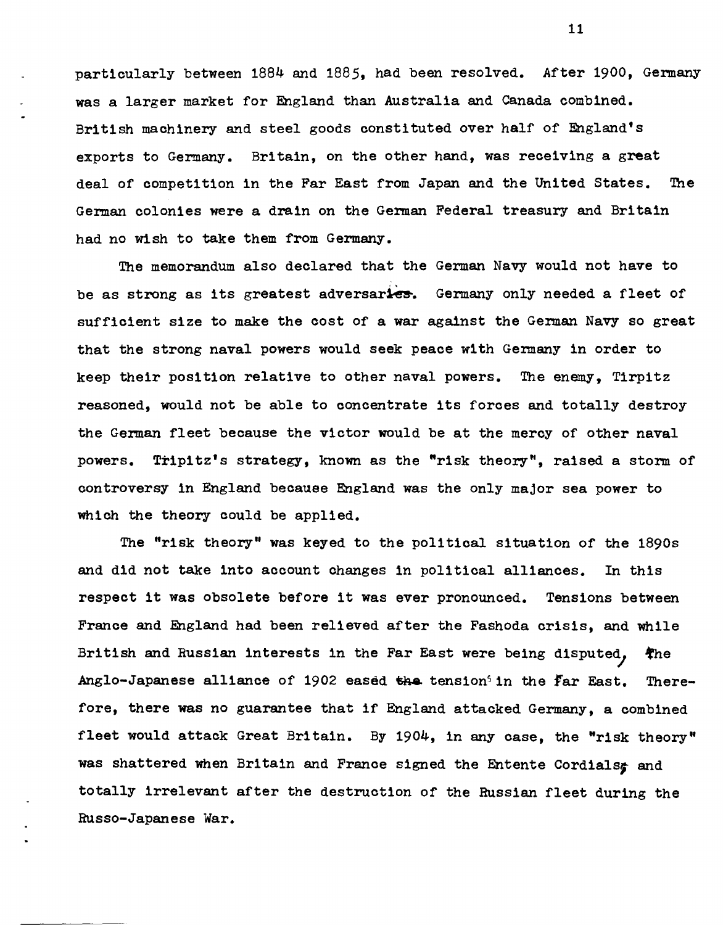particularly between 1884 and 1885, had been resolved. After 1900, Germany was a larger market for England than Australia and Canada combined. British machinery and steel goods constituted over half of England's exports to Germany. Britain, on the other hand, was receiving a great deal of competition in the Far East from Japan and the United States. The German colonies were a drain on the German Federal treasury and Britain had no wish to take them from Germany.

The memorandum also declared that the German Navy would not have to be as strong as its greatest adversaries. Germany only needed a fleet of sufficient size to make the cost of a war against the German Navy so great that the strong naval powers would seek peace with Germany in order to keep their position relative to other naval powers. The enemy, Tirpitz reasoned, would not be able to concentrate its forces and totally destroy the German fleet because the victor would be at the mercy of other naval powers. Trip1tz's strategy, known as the "risk theory", raised a storm of controversy in England because England was the only major sea power to wh1ch the theory could be applied.

The "risk theory" was keyed to the political situation of the 1890s and did not take into account changes in political alliances. In this respect it was obsolete before it was ever pronounced. Tensions between France and England had been relieved after the Fashoda crisis, and while British and Russian interests in the Far East were being disputed,  $*$ he Anglo-Japanese alliance of 1902 eased the tension<sup>5</sup> in the  $\texttt{far}$  East. Therefore, there was no guarantee that if England attacked Germany, a combined fleet would attack Great Britain. By 1904, in any case, the "risk theory" was shattered when Britain and France signed the Entente Cordials; and totally irrelevant after the destruction of the Russian fleet during the Russo-Japanese War.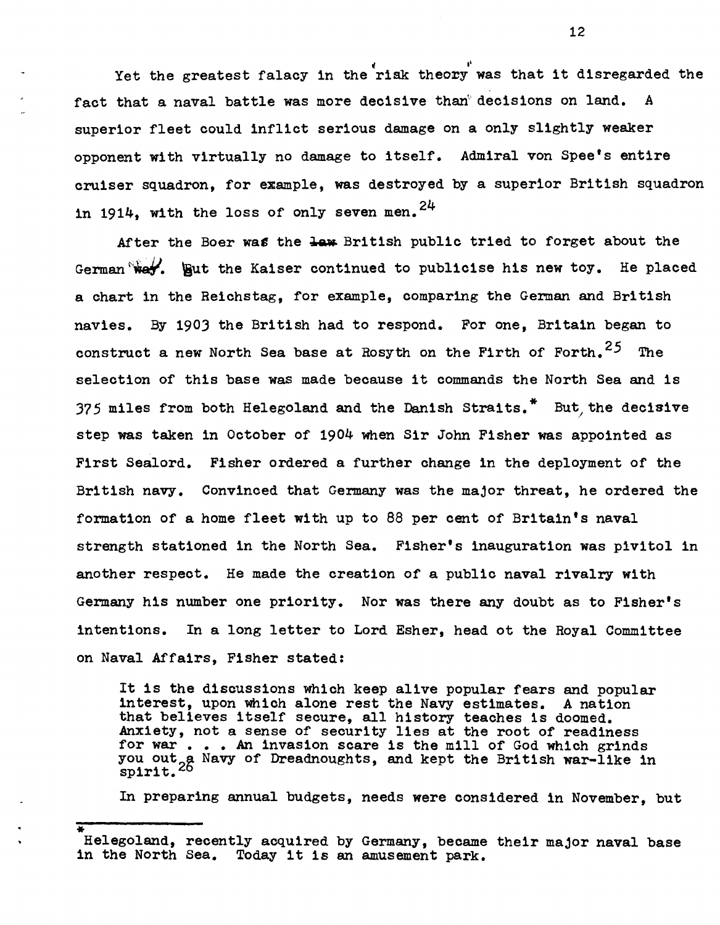Yet the greatest falacy in the riak theory was that it disregarded the fact that a naval battle was more decisive than<sup>®</sup> decisions on land. A superior fleet could inflict serious damage on a only slightly weaker opponent with virtually no damage to itself. Admiral von Spee's entire cruiser squadron, for example, was destroyed by a superior British squadron in 1914, with the loss of only seven men.  $24$ 

After the Boer was the law British public tried to forget about the German  $\forall x$ . But the Kaiser continued to publicise his new toy. He placed a chart in the Reichstag, for example, comparing the German and British navies. By 1903 the British had to respond. For one, Britain began to construct a new North Sea base at Rosyth on the Firth of Forth.  $25$  The selection of this base was made because it commands the North Sea and is 375 miles from both Helegoland and the Danish Straits.<sup> $"$ </sup> But the decisive step was taken in October of 1904 when Sir John Fisher was appointed as First Sealord. Fisher ordered a further change in the deployment of the British navy. Convinced that Germany was the major threat, he ordered the formation of a home fleet with up to 88 per cent of Britain's naval strength stationed in the North Sea. Fisher's inauguration was pivitol in another respect. He made the creation of a public naval rivalry with Germany his number one priority. Nor was there any doubt as to Fisher's intentions. In a long letter to Lord Esher, head ot the Royal Committee on Naval Affairs, Fisher stated:

It is the discussions which keep alive popular fears and popular interest, upon whioh alone rest the Navy estimates. A nation that believes itself secure, all history teaches is doomed. Anxiety, not a sense of security lies at the root of readiness for war . . . An invasion scare is the mill of God which grinds for war . . . An invasion scare is the mill of God which grinds<br>you out a Navy of Dreadnoughts, and kept the British war-like in<br>spirit.<sup>26</sup> spirit.

In preparing annual budgets, needs were considered in November, but

Helegoland, recently acquired by Germany, became their major naval base in the North Sea. Today it is an amusement park.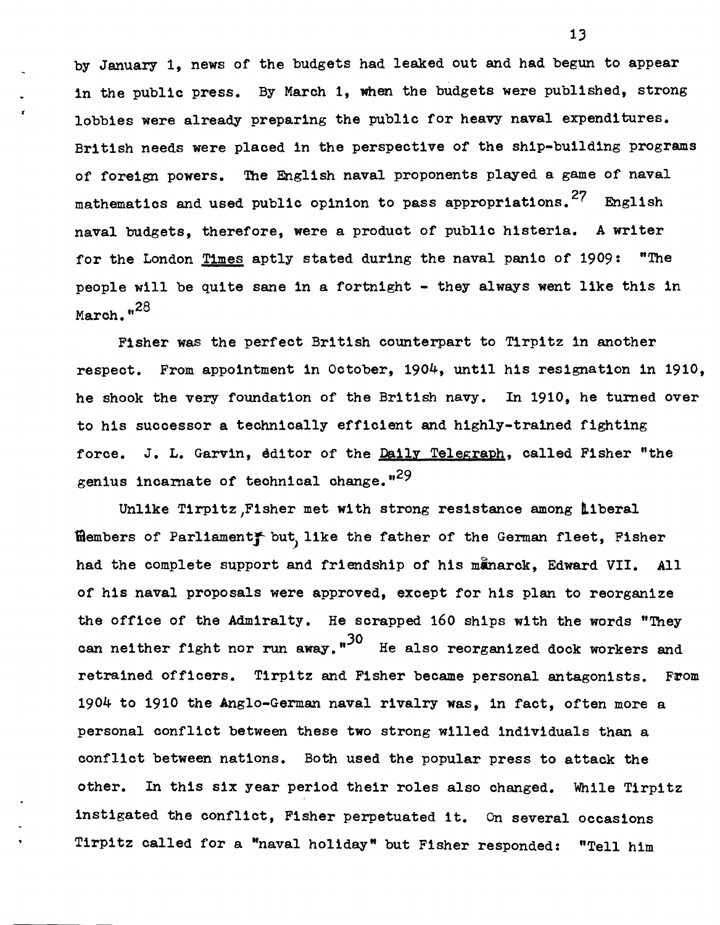by January 1, news of the budgets had leaked out and had begun to appear in the public press. By March 1, when the budgets were published, strong lobbies were already preparing the public for heavy naval expenditures. British needs were placed in the perspective of the ship-building programs of foreign powers. The English naval proponents played a game of naval mathematics and used public opinion to pass appropriations.<sup>27</sup> English naval budgets, therefore, were a product of public histeria. A writer for the London Times aptly stated during the naval panic of 1909: "The people will be quite sane in a fortnight - they always went like this in March. "<sup>28</sup>

Fisher was the perfect British counterpart to Tirpitz in another respect. From appointment in October, 1904, until his resignation in 1910, he shook the very foundation of the British navy. In 1910, he turned over to his successor a technically efficient and highly-trained fighting force. J. L. Garvin, editor of the Daily Telegraph, called Fisher "the genius incarnate of technical change.<sup>129</sup>

Unlike Tirpitz,Fisher met with strong resistance among liberal filembers of Parliament but, like the father of the German fleet, Fisher had the complete support and friendship of his manarck. Edward VII. All of his naval proposals were approved, except for his plan to reorganize the office of the Admiralty. He scrapped 160 ships with the words "They can neither fight nor run away."<sup>30</sup> He also reorganized dock workers and retrained officers. Tirpitz and Fisher became personal antagonists. From 1904 to 1910 the Anglo-German naval rivalry was, in fact, often more a personal conflict between these two strong willed individuals than a conflict between nations. Both used the popular press to attack the other. In this six year period their roles also changed. While Tirpitz instigated the conflict, Fisher perpetuated it. On several occasions Tirpitz called for a "naval holiday" but Fisher responded: "Tell him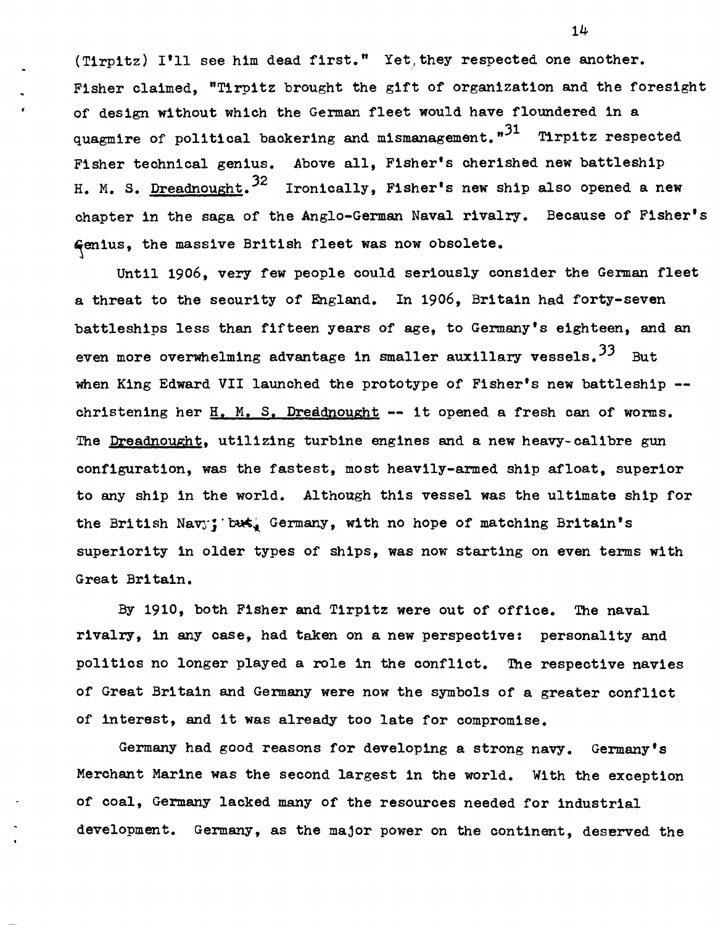(Tirpitz) I'll see him dead first." Yet, they respected one another. Fisher claimed, "Tirpitz brought the gift of organization and the foresight of deSign without which the German fleet would have floundered in a quagmire of political backering and mismanagement.  $1^31$  Tirpitz respected Fisher technical genius. Above all, Fisher's oherished new battleship H. M. S. Dreadnought.<sup>32</sup> Ironically, Fisher's new ship also opened a new chapter in the saga of the Anglo-German Naval rivalry. Because of Fisher's Genius, the massive British fleet was now obsolete.

Until 1906, very few people could seriously consider the German fleet a threat to the security of England. In 1906, Britain had forty-seven battleships less than fifteen years of age, to Germany's eighteen, and an even more overwhelming advantage in smaller auxillary vessels.  $33$  But when King Edward VII launched the prototype of Fisher's new battleship -christening her H. M. S. Dreadnought **--** it opened a fresh can of worms. The Dreadnought, utilizing turbine engines and a new heavy-oalibre gun configuration, was the fastest, most heavily-armed ship afloat, superior to any ship in the world. Although this vessel was the ultimate ship for the British Navy; but, Germany, with no hope of matching Britain's superiority in older types of ships, was now starting on even terms with Great Britain.

By 1910, both Fisher and Tirpitz were out of office. The naval rivalry, in any oase, had taken on a new perspeotive: personality and politios no longer played a role in the oonfliot. The respeotive navies of Great Britain and Germany were now the symbols of a greater conflict of interest, and it was already too late for oompromise.

Germany had good reasons for developing a strong navy. Germany's Merohant Marine was the second largest in the world. With the exception of coal, Germany lacked many of the resouroes needed for industrial development. Germany, as the major power on the continent, deserved the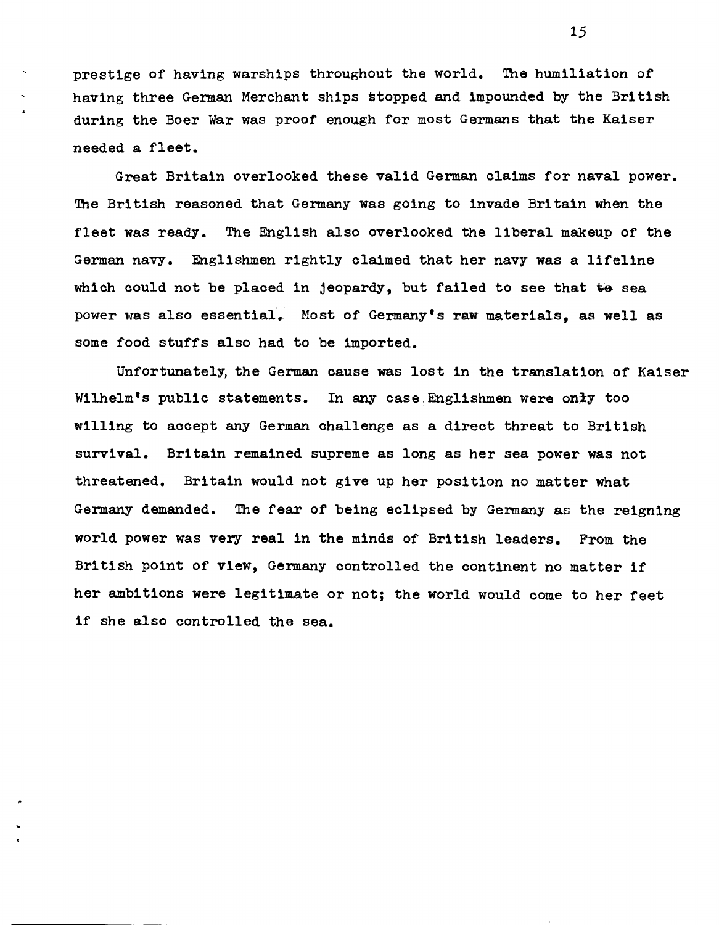prestige of having warships throughout the world. The humiliation of having three German Merchant ships stopped and impounded by the British during the Boer War was proof enough for most Germans that the Kaiser needed a fleet.

Great Britain overlooked these valid German claims for naval power. The British reasoned that Germany was going to invade Britain when the fleet was ready. The English also overlooked the liberal makeup of the German navy. Englishmen rightly claimed that her navy was a lifeline which could not be placed in jeopardy, but failed to see that  $~$  sea power was also essential. Most of Germany's raw materials, as well as some food stuffs also had to be imported.

Unfortunately, the German cause was lost in the translation of Kaiser Wilhelm's public statements. In any case, Englishmen were only too willing to accept any German challenge as a direct threat to British survival. Britain remained supreme as long as her sea power was not threatened. Britain would not give up her position no matter what Germany demanded. The fear of being eclipsed by Germany as the reigning world power was very real in the minds of British leaders. From the British point of view, Germany controlled the continent no matter if her ambitions were legitimate or not; the world would come to her feet if she also controlled the sea.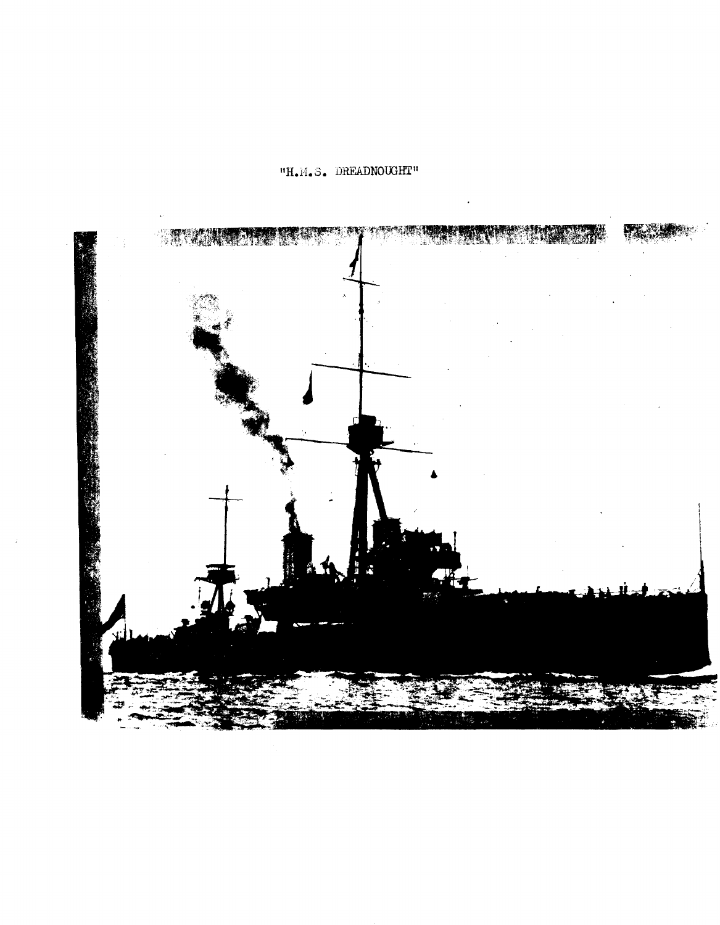## **IIH.M.S. DREADNOUGHT"**

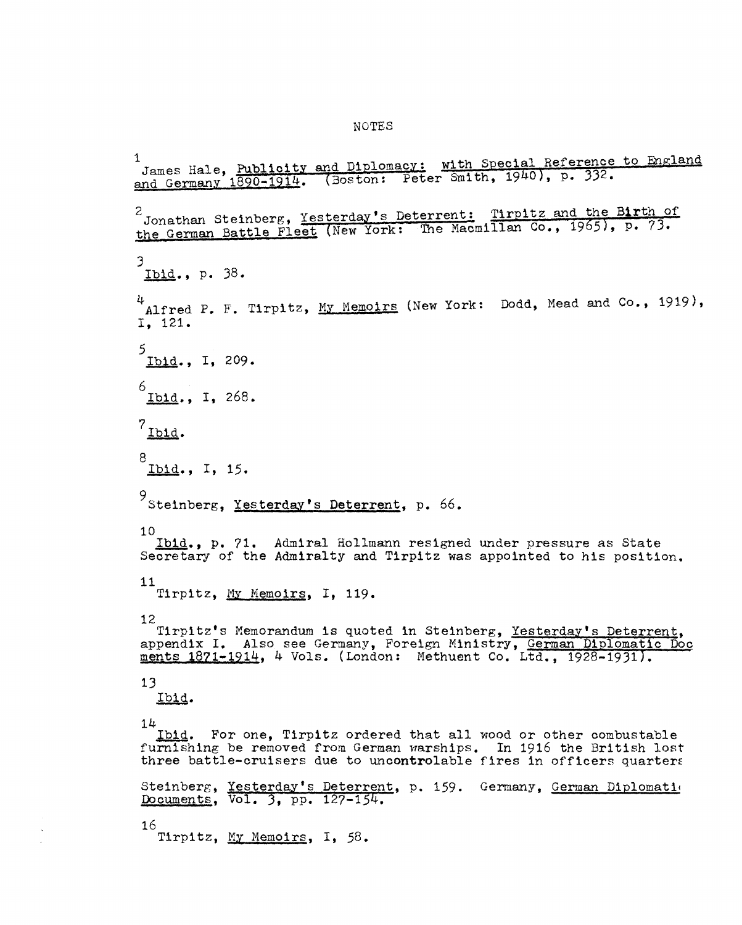## NOTES

<sup>1</sup> James Hale, Publicity and Diplomacy: with Special Reference to England James Hale,  $\frac{1890-1914}{1890-1914}$ . (Boston: Peter Smith, 1940), p. 332. 2 Jonathan Steinberg, Yesterday's Deterrent: Tirpltz and the Birth of the German Battle Fleet (New York: The Macmillan Co., 1965), p. 73. 3 Ibid., p. 38. 4 Alfred P. F. Tirpitz, My Memoirs (New York: Dodd, Mead and Co., 1919), I, 121. 5 Ibid., I, 209. 6 Ibid., I, 268.  $7<sub>lb1d</sub>$ . 8<br><u>Ibid</u>., I, 15. 9<br>Steinberg, <u>Yesterday's Deterrent</u>, p. 66. 10 Ibid., p. 71. Admiral Hollmann resigned under pressure as State Secretary of the Admiralty and Tirpitz was appointed to his position. 11 Tirpitz, My Memoirs, I, 119. 12 Tirpitz's Memorandum is quoted in Steinberg, Yesterday's Deterrent. appendix I. Also see Germany, Foreign Ministry, German Diplomatic Doc ments 1871-1914, 4 Vols. (London: Methuent Co. Ltd., 1928-1931). 13 Ibid. 14 Ibid. For one, Tlrpltz ordered that all wood or other combustable furnishing be removed from German warships. In 1916 the British lost three battle-cruisers due to uncontrolable fires in officers quarters Steinberg, Yesterday's Deterrent, p. 159. Germany, German Diplomation Documents, Vol. 3, pp. 127-154. 16

Tirpitz, My Memoirs, I, 58.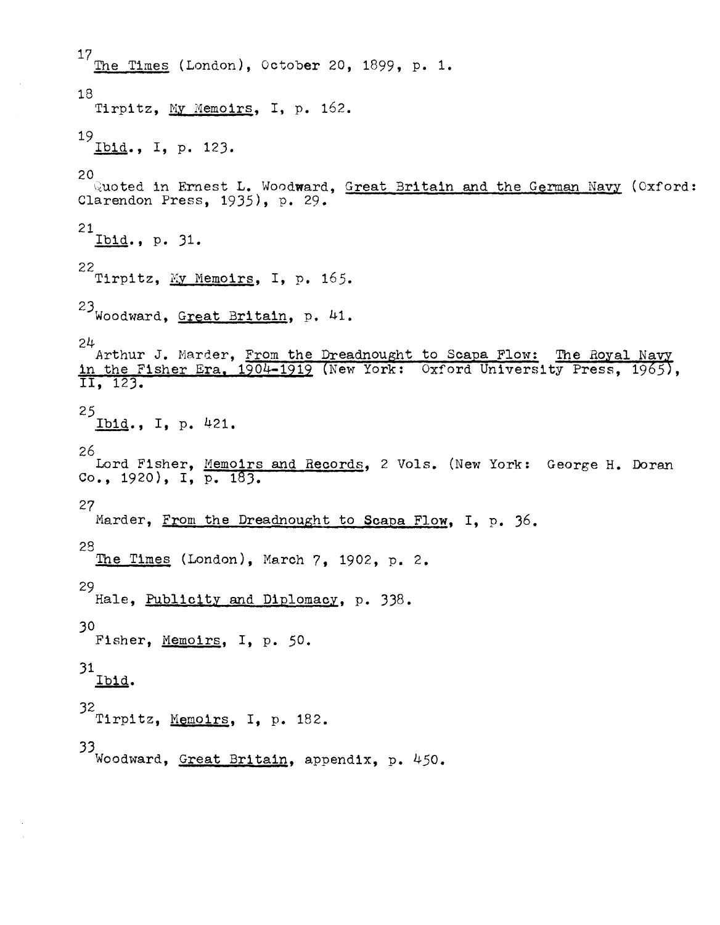$\frac{17}{\text{The Times}}$  (London), October 20, 1899, p. 1. 18 Tirpitz, My Memoirs, I, p. 162.  $^{19}$  Ibid., I, p. 123. 20  $\sim$  uoted in Ernest L. Woodward, Great Britain and the German Navy (Oxford: Clarendon Press, 1935), p. 29.  $^{21}$ Ibid., p. 31. 22<br>Tirpitz, <u>My Memoirs</u>, I, p. 165.  $23$  Woodward, Great Britain, p. 41. 24<br>Arthur J. Marder, <u>From the Dreadnought to Scapa Flow:</u> The Royal Na in the Fisher Era, 1904-1919 (New York: Oxford University Press, 1965),  $\overline{11, 123}$ .  $^{25}$  Ibid., I, p. 421. 26 Lord Fisher, Memoirs and Records, 2 Vols. (New York: George H. Doran Co., 1920), I, p. 183. 27 Marder, From the Dreadnought to Scapa Flow, I, p. 36. 28 The Times (London), March 7, 1902, p. 2. 29 Hale, Publicity and Diplomacy, p. 338. 30 Fisher, Memoirs, I, p. 50. 31 Ibid. 32<br>Tirpitz, Memoirs, I, p. 182. 33 Woodward, Great Britain, appendix, p. 450.